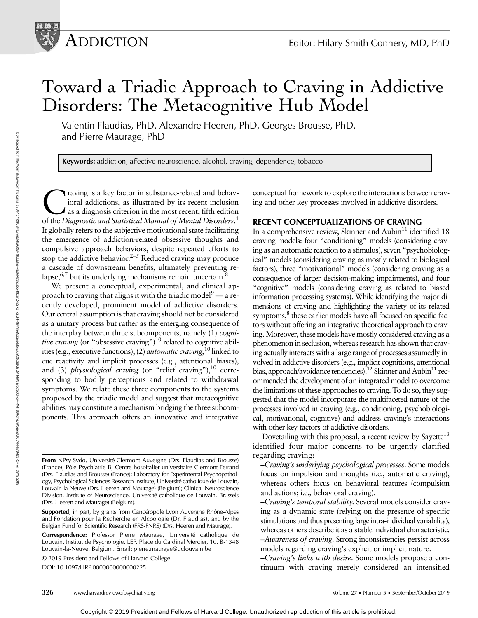# Toward a Triadic Approach to Craving in Addictive Disorders: The Metacognitive Hub Model

Valentin Flaudias, PhD, Alexandre Heeren, PhD, Georges Brousse, PhD, and Pierre Maurage, PhD

Keywords: addiction, affective neuroscience, alcohol, craving, dependence, tobacco

raving is a key factor in substance-related and behavioral addictions, as illustrated by its recent inclusion as a diagnosis criterion in the most recent, fifth edition of the Diagnostic and Statistical Manual of Mental Disorders.<sup>1</sup> It globally refers to the subjective motivational state facilitating the emergence of addiction-related obsessive thoughts and compulsive approach behaviors, despite repeated efforts to stop the addictive behavior.<sup>2-5</sup> Reduced craving may produce a cascade of downstream benefits, ultimately preventing relapse, $6,7$  but its underlying mechanisms remain uncertain. $8$ 

We present a conceptual, experimental, and clinical approach to craving that aligns it with the triadic model<sup>9</sup> — a recently developed, prominent model of addictive disorders. Our central assumption is that craving should not be considered as a unitary process but rather as the emerging consequence of the interplay between three subcomponents, namely (1) *cogni*tive craving (or "obsessive craving")<sup>10</sup> related to cognitive abilities (e.g., executive functions), (2) *automatic craving*, <sup>10</sup> linked to cue reactivity and implicit processes (e.g., attentional biases), and (3) physiological craving (or "relief craving"), $^{10}$  corresponding to bodily perceptions and related to withdrawal symptoms. We relate these three components to the systems proposed by the triadic model and suggest that metacognitive abilities may constitute a mechanism bridging the three subcomponents. This approach offers an innovative and integrative

Correspondence: Professor Pierre Maurage, Université catholique de Louvain, Institut de Psychologie, LEP, Place du Cardinal Mercier, 10, B-1348 Louvain-la-Neuve, Belgium. Email: [pierre.maurage@uclouvain.be](mailto:pierre.maurage@uclouvain.be)

© 2019 President and Fellows of Harvard College

DOI: 10.1097/HRP.0000000000000225

conceptual framework to explore the interactions between craving and other key processes involved in addictive disorders.

### RECENT CONCEPTUALIZATIONS OF CRAVING

In a comprehensive review, Skinner and  $\text{Aubin}^{11}$  identified 18 craving models: four "conditioning" models (considering craving as an automatic reaction to a stimulus), seven "psychobiological" models (considering craving as mostly related to biological factors), three "motivational" models (considering craving as a consequence of larger decision-making impairments), and four "cognitive" models (considering craving as related to biased information-processing systems). While identifying the major dimensions of craving and highlighting the variety of its related symptoms,<sup>8</sup> these earlier models have all focused on specific factors without offering an integrative theoretical approach to craving. Moreover, these models have mostly considered craving as a phenomenon in seclusion, whereas research has shown that craving actually interacts with a large range of processes assumedly involved in addictive disorders (e.g., implicit cognitions, attentional bias, approach/avoidance tendencies).<sup>12</sup> Skinner and Aubin<sup>11</sup> recommended the development of an integrated model to overcome the limitations of these approaches to craving. To do so, they suggested that the model incorporate the multifaceted nature of the processes involved in craving (e.g., conditioning, psychobiological, motivational, cognitive) and address craving's interactions with other key factors of addictive disorders.

Dovetailing with this proposal, a recent review by Sayette<sup>13</sup> identified four major concerns to be urgently clarified regarding craving:

–Craving's underlying psychological processes. Some models focus on impulsion and thoughts (i.e., automatic craving), whereas others focus on behavioral features (compulsion and actions; i.e., behavioral craving).

–Craving's temporal stability. Several models consider craving as a dynamic state (relying on the presence of specific stimulations and thus presenting large intra-individual variability), whereas others describe it as a stable individual characteristic. –Awareness of craving. Strong inconsistencies persist across models regarding craving's explicit or implicit nature.

–Craving's links with desire. Some models propose a continuum with craving merely considered an intensified

From NPsy-Sydo, Université Clermont Auvergne (Drs. Flaudias and Brousse) (France); Pôle Psychiatrie B, Centre hospitalier universitaire Clermont-Ferrand (Drs. Flaudias and Brousse) (France); Laboratory for Experimental Psychopathology, Psychological Sciences Research Institute, Université catholique de Louvain, Louvain-la-Neuve (Drs. Heeren and Maurage) (Belgium); Clinical Neuroscience Division, Institute of Neuroscience, Université catholique de Louvain, Brussels (Drs. Heeren and Maurage) (Belgium).

Supported, in part, by grants from Cancéropole Lyon Auvergne Rhône-Alpes and Fondation pour la Recherche en Alcoologie (Dr. Flaudias), and by the Belgian Fund for Scientific Research (FRS-FNRS) (Drs. Heeren and Maurage).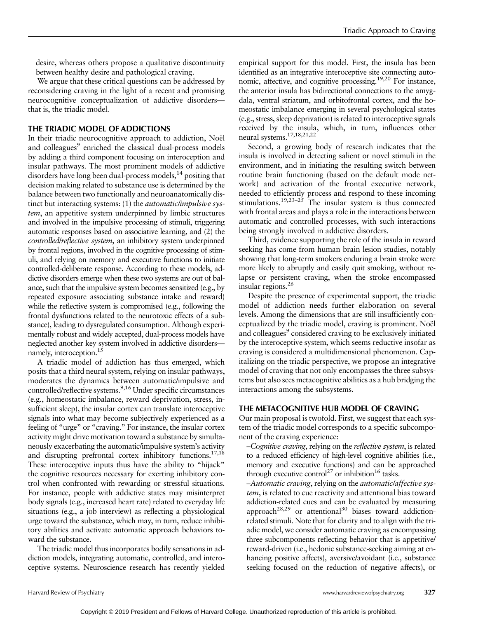desire, whereas others propose a qualitative discontinuity between healthy desire and pathological craving.

We argue that these critical questions can be addressed by reconsidering craving in the light of a recent and promising neurocognitive conceptualization of addictive disorders that is, the triadic model.

# THE TRIADIC MODEL OF ADDICTIONS

In their triadic neurocognitive approach to addiction, Noël and colleagues<sup>9</sup> enriched the classical dual-process models by adding a third component focusing on interoception and insular pathways. The most prominent models of addictive disorders have long been dual-process models,  $14$  positing that decision making related to substance use is determined by the balance between two functionally and neuroanatomically distinct but interacting systems: (1) the *automatic/impulsive sys*tem, an appetitive system underpinned by limbic structures and involved in the impulsive processing of stimuli, triggering automatic responses based on associative learning, and (2) the controlled/reflective system, an inhibitory system underpinned by frontal regions, involved in the cognitive processing of stimuli, and relying on memory and executive functions to initiate controlled-deliberate response. According to these models, addictive disorders emerge when these two systems are out of balance, such that the impulsive system becomes sensitized (e.g., by repeated exposure associating substance intake and reward) while the reflective system is compromised (e.g., following the frontal dysfunctions related to the neurotoxic effects of a substance), leading to dysregulated consumption. Although experimentally robust and widely accepted, dual-process models have neglected another key system involved in addictive disorders namely, interoception.<sup>15</sup>

A triadic model of addiction has thus emerged, which posits that a third neural system, relying on insular pathways, moderates the dynamics between automatic/impulsive and controlled/reflective systems.<sup>9,16</sup> Under specific circumstances (e.g., homeostatic imbalance, reward deprivation, stress, insufficient sleep), the insular cortex can translate interoceptive signals into what may become subjectively experienced as a feeling of "urge" or "craving." For instance, the insular cortex activity might drive motivation toward a substance by simultaneously exacerbating the automatic/impulsive system's activity and disrupting prefrontal cortex inhibitory functions.<sup>17,18</sup> These interoceptive inputs thus have the ability to "hijack" the cognitive resources necessary for exerting inhibitory control when confronted with rewarding or stressful situations. For instance, people with addictive states may misinterpret body signals (e.g., increased heart rate) related to everyday life situations (e.g., a job interview) as reflecting a physiological urge toward the substance, which may, in turn, reduce inhibitory abilities and activate automatic approach behaviors toward the substance.

The triadic model thus incorporates bodily sensations in addiction models, integrating automatic, controlled, and interoceptive systems. Neuroscience research has recently yielded empirical support for this model. First, the insula has been identified as an integrative interoceptive site connecting autonomic, affective, and cognitive processing.<sup>19,20</sup> For instance, the anterior insula has bidirectional connections to the amygdala, ventral striatum, and orbitofrontal cortex, and the homeostatic imbalance emerging in several psychological states (e.g., stress, sleep deprivation) isrelated to interoceptive signals received by the insula, which, in turn, influences other neural systems.17,18,21,22

Second, a growing body of research indicates that the insula is involved in detecting salient or novel stimuli in the environment, and in initiating the resulting switch between routine brain functioning (based on the default mode network) and activation of the frontal executive network, needed to efficiently process and respond to these incoming stimulations.<sup>19,23–25</sup> The insular system is thus connected with frontal areas and plays a role in the interactions between automatic and controlled processes, with such interactions being strongly involved in addictive disorders.

Third, evidence supporting the role of the insula in reward seeking has come from human brain lesion studies, notably showing that long-term smokers enduring a brain stroke were more likely to abruptly and easily quit smoking, without relapse or persistent craving, when the stroke encompassed insular regions.26

Despite the presence of experimental support, the triadic model of addiction needs further elaboration on several levels. Among the dimensions that are still insufficiently conceptualized by the triadic model, craving is prominent. Noël and colleagues<sup>9</sup> considered craving to be exclusively initiated by the interoceptive system, which seems reductive insofar as craving is considered a multidimensional phenomenon. Capitalizing on the triadic perspective, we propose an integrative model of craving that not only encompasses the three subsystems but also sees metacognitive abilities as a hub bridging the interactions among the subsystems.

# THE METACOGNITIVE HUB MODEL OF CRAVING

Our main proposal is twofold. First, we suggest that each system of the triadic model corresponds to a specific subcomponent of the craving experience:

–Cognitive craving, relying on the reflective system, is related to a reduced efficiency of high-level cognitive abilities (i.e., memory and executive functions) and can be approached through executive control<sup>27</sup> or inhibition<sup>16</sup> tasks.

–Automatic craving, relying on the automatic/affective system, is related to cue reactivity and attentional bias toward addiction-related cues and can be evaluated by measuring approach<sup>28,29</sup> or attentional<sup>30</sup> biases toward addictionrelated stimuli. Note that for clarity and to align with the triadic model, we consider automatic craving as encompassing three subcomponents reflecting behavior that is appetitive/ reward-driven (i.e., hedonic substance-seeking aiming at enhancing positive affects), aversive/avoidant (i.e., substance seeking focused on the reduction of negative affects), or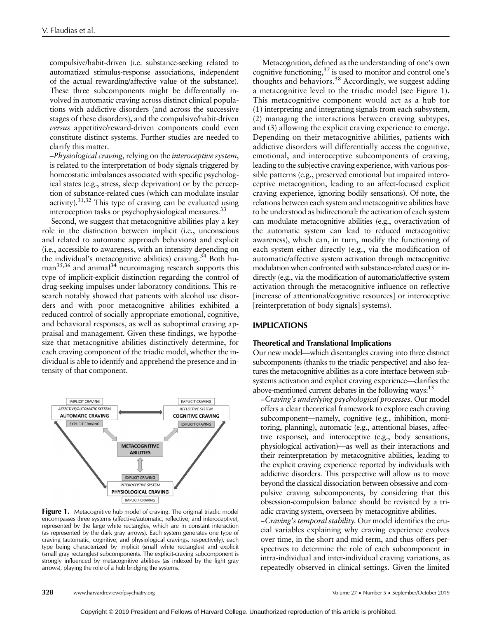compulsive/habit-driven (i.e. substance-seeking related to automatized stimulus-response associations, independent of the actual rewarding/affective value of the substance). These three subcomponents might be differentially involved in automatic craving across distinct clinical populations with addictive disorders (and across the successive stages of these disorders), and the compulsive/habit-driven versus appetitive/reward-driven components could even constitute distinct systems. Further studies are needed to clarify this matter.

–Physiological craving, relying on the interoceptive system, is related to the interpretation of body signals triggered by homeostatic imbalances associated with specific psychological states (e.g., stress, sleep deprivation) or by the perception of substance-related cues (which can modulate insular activity). $31,32$  This type of craving can be evaluated using interoception tasks or psychophysiological measures.<sup>33</sup>

Second, we suggest that metacognitive abilities play a key role in the distinction between implicit (i.e., unconscious and related to automatic approach behaviors) and explicit (i.e., accessible to awareness, with an intensity depending on the individual's metacognitive abilities) craving.<sup>34</sup> Both human<sup>35,36</sup> and animal<sup>34</sup> neuroimaging research supports this type of implicit-explicit distinction regarding the control of drug-seeking impulses under laboratory conditions. This research notably showed that patients with alcohol use disorders and with poor metacognitive abilities exhibited a reduced control of socially appropriate emotional, cognitive, and behavioral responses, as well as suboptimal craving appraisal and management. Given these findings, we hypothesize that metacognitive abilities distinctively determine, for each craving component of the triadic model, whether the individual is able to identify and apprehend the presence and intensity of that component.



Figure 1. Metacognitive hub model of craving. The original triadic model encompasses three systems (affective/automatic, reflective, and interoceptive), represented by the large white rectangles, which are in constant interaction (as represented by the dark gray arrows). Each system generates one type of craving (automatic, cognitive, and physiological cravings, respectively), each type being characterized by implicit (small white rectangles) and explicit (small gray rectangles) subcomponents. The explicit-craving subcomponent is strongly influenced by metacognitive abilities (as indexed by the light gray arrows), playing the role of a hub bridging the systems.

Metacognition, defined as the understanding of one's own cognitive functioning,<sup>37</sup> is used to monitor and control one's thoughts and behaviors.<sup>38</sup> Accordingly, we suggest adding a metacognitive level to the triadic model (see Figure 1). This metacognitive component would act as a hub for (1) interpreting and integrating signals from each subsystem, (2) managing the interactions between craving subtypes, and (3) allowing the explicit craving experience to emerge. Depending on their metacognitive abilities, patients with addictive disorders will differentially access the cognitive, emotional, and interoceptive subcomponents of craving, leading to the subjective craving experience, with various possible patterns (e.g., preserved emotional but impaired interoceptive metacognition, leading to an affect-focused explicit craving experience, ignoring bodily sensations). Of note, the relations between each system and metacognitive abilities have to be understood as bidirectional: the activation of each system can modulate metacognitive abilities (e.g., overactivation of the automatic system can lead to reduced metacognitive awareness), which can, in turn, modify the functioning of each system either directly (e.g., via the modification of automatic/affective system activation through metacognitive modulation when confronted with substance-related cues) or indirectly (e.g., via the modification of automatic/affective system activation through the metacognitive influence on reflective [increase of attentional/cognitive resources] or interoceptive [reinterpretation of body signals] systems).

# IMPLICATIONS

#### Theoretical and Translational Implications

Our new model—which disentangles craving into three distinct subcomponents (thanks to the triadic perspective) and also features the metacognitive abilities as a core interface between subsystems activation and explicit craving experience—clarifies the above-mentioned current debates in the following ways:<sup>13</sup>

−Craving's underlying psychological processes. Our model offers a clear theoretical framework to explore each craving subcomponent—namely, cognitive (e.g., inhibition, monitoring, planning), automatic (e.g., attentional biases, affective response), and interoceptive (e.g., body sensations, physiological activation)—as well as their interactions and their reinterpretation by metacognitive abilities, leading to the explicit craving experience reported by individuals with addictive disorders. This perspective will allow us to move beyond the classical dissociation between obsessive and compulsive craving subcomponents, by considering that this obsession-compulsion balance should be revisited by a triadic craving system, overseen by metacognitive abilities.

−Craving's temporal stability. Our model identifies the crucial variables explaining why craving experience evolves over time, in the short and mid term, and thus offers perspectives to determine the role of each subcomponent in intra-individual and inter-individual craving variations, as repeatedly observed in clinical settings. Given the limited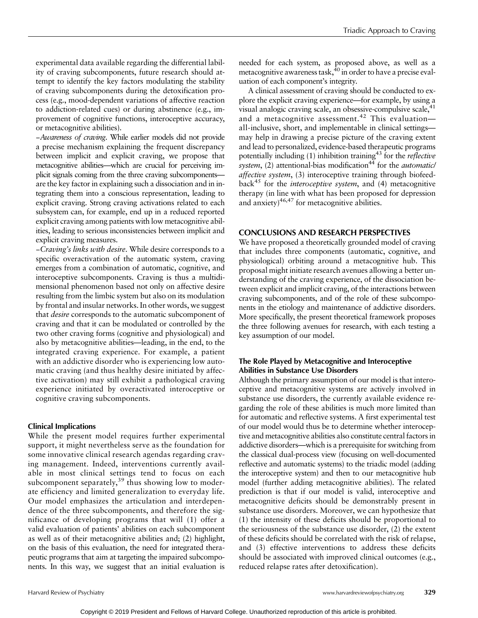experimental data available regarding the differential lability of craving subcomponents, future research should attempt to identify the key factors modulating the stability of craving subcomponents during the detoxification process (e.g., mood-dependent variations of affective reaction to addiction-related cues) or during abstinence (e.g., improvement of cognitive functions, interoceptive accuracy, or metacognitive abilities).

−Awareness of craving. While earlier models did not provide a precise mechanism explaining the frequent discrepancy between implicit and explicit craving, we propose that metacognitive abilities—which are crucial for perceiving implicit signals coming from the three craving subcomponents are the key factor in explaining such a dissociation and in integrating them into a conscious representation, leading to explicit craving. Strong craving activations related to each subsystem can, for example, end up in a reduced reported explicit craving among patients with low metacognitive abilities, leading to serious inconsistencies between implicit and explicit craving measures.

−Craving's links with desire. While desire corresponds to a specific overactivation of the automatic system, craving emerges from a combination of automatic, cognitive, and interoceptive subcomponents. Craving is thus a multidimensional phenomenon based not only on affective desire resulting from the limbic system but also on its modulation by frontal and insular networks. In other words, we suggest that desire corresponds to the automatic subcomponent of craving and that it can be modulated or controlled by the two other craving forms (cognitive and physiological) and also by metacognitive abilities—leading, in the end, to the integrated craving experience. For example, a patient with an addictive disorder who is experiencing low automatic craving (and thus healthy desire initiated by affective activation) may still exhibit a pathological craving experience initiated by overactivated interoceptive or cognitive craving subcomponents.

### Clinical Implications

While the present model requires further experimental support, it might nevertheless serve as the foundation for some innovative clinical research agendas regarding craving management. Indeed, interventions currently available in most clinical settings tend to focus on each subcomponent separately, $39$  thus showing low to moderate efficiency and limited generalization to everyday life. Our model emphasizes the articulation and interdependence of the three subcomponents, and therefore the significance of developing programs that will (1) offer a valid evaluation of patients' abilities on each subcomponent as well as of their metacognitive abilities and; (2) highlight, on the basis of this evaluation, the need for integrated therapeutic programs that aim at targeting the impaired subcomponents. In this way, we suggest that an initial evaluation is

needed for each system, as proposed above, as well as a metacognitive awareness task, $40$  in order to have a precise evaluation of each component's integrity.

A clinical assessment of craving should be conducted to explore the explicit craving experience—for example, by using a visual analogic craving scale, an obsessive-compulsive scale,  $41$ and a metacognitive assessment.<sup>42</sup> This evaluation all-inclusive, short, and implementable in clinical settings may help in drawing a precise picture of the craving extent and lead to personalized, evidence-based therapeutic programs potentially including  $(1)$  inhibition training<sup>43</sup> for the *reflective* system,  $(2)$  attentional-bias modification<sup>44</sup> for the *automatic* affective system, (3) interoceptive training through biofeedback<sup>45</sup> for the *interoceptive system*, and (4) metacognitive therapy (in line with what has been proposed for depression and anxiety) $46,47$  for metacognitive abilities.

# CONCLUSIONS AND RESEARCH PERSPECTIVES

We have proposed a theoretically grounded model of craving that includes three components (automatic, cognitive, and physiological) orbiting around a metacognitive hub. This proposal might initiate research avenues allowing a better understanding of the craving experience, of the dissociation between explicit and implicit craving, of the interactions between craving subcomponents, and of the role of these subcomponents in the etiology and maintenance of addictive disorders. More specifically, the present theoretical framework proposes the three following avenues for research, with each testing a key assumption of our model.

# The Role Played by Metacognitive and Interoceptive Abilities in Substance Use Disorders

Although the primary assumption of our model is that interoceptive and metacognitive systems are actively involved in substance use disorders, the currently available evidence regarding the role of these abilities is much more limited than for automatic and reflective systems. A first experimental test of our model would thus be to determine whether interoceptive and metacognitive abilities also constitute central factors in addictive disorders—which is a prerequisite for switching from the classical dual-process view (focusing on well-documented reflective and automatic systems) to the triadic model (adding the interoceptive system) and then to our metacognitive hub model (further adding metacognitive abilities). The related prediction is that if our model is valid, interoceptive and metacognitive deficits should be demonstrably present in substance use disorders. Moreover, we can hypothesize that (1) the intensity of these deficits should be proportional to the seriousness of the substance use disorder, (2) the extent of these deficits should be correlated with the risk of relapse, and (3) effective interventions to address these deficits should be associated with improved clinical outcomes (e.g., reduced relapse rates after detoxification).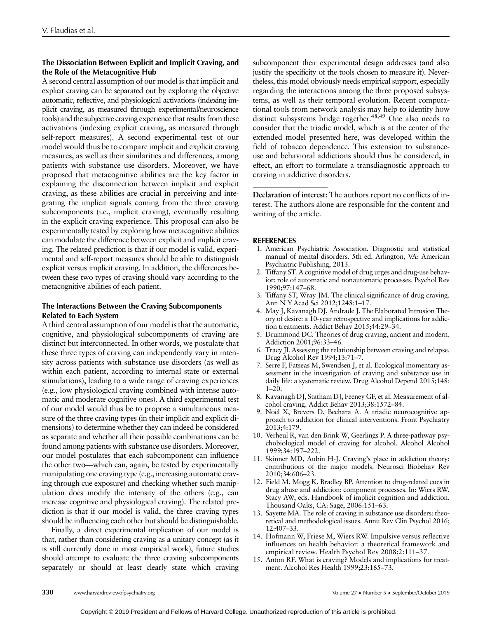# The Dissociation Between Explicit and Implicit Craving, and the Role of the Metacognitive Hub

A second central assumption of our model is that implicit and explicit craving can be separated out by exploring the objective automatic, reflective, and physiological activations (indexing implicit craving, as measured through experimental/neuroscience tools) and the subjective craving experience that results from these activations (indexing explicit craving, as measured through self-report measures). A second experimental test of our model would thus be to compare implicit and explicit craving measures, as well as their similarities and differences, among patients with substance use disorders. Moreover, we have proposed that metacognitive abilities are the key factor in explaining the disconnection between implicit and explicit craving, as these abilities are crucial in perceiving and integrating the implicit signals coming from the three craving subcomponents (i.e., implicit craving), eventually resulting in the explicit craving experience. This proposal can also be experimentally tested by exploring how metacognitive abilities can modulate the difference between explicit and implicit craving. The related prediction is that if our model is valid, experimental and self-report measures should be able to distinguish explicit versus implicit craving. In addition, the differences between these two types of craving should vary according to the metacognitive abilities of each patient.

# The Interactions Between the Craving Subcomponents Related to Each System

A third central assumption of our model is that the automatic, cognitive, and physiological subcomponents of craving are distinct but interconnected. In other words, we postulate that these three types of craving can independently vary in intensity across patients with substance use disorders (as well as within each patient, according to internal state or external stimulations), leading to a wide range of craving experiences (e.g., low physiological craving combined with intense automatic and moderate cognitive ones). A third experimental test of our model would thus be to propose a simultaneous measure of the three craving types (in their implicit and explicit dimensions) to determine whether they can indeed be considered as separate and whether all their possible combinations can be found among patients with substance use disorders. Moreover, our model postulates that each subcomponent can influence the other two—which can, again, be tested by experimentally manipulating one craving type (e.g., increasing automatic craving through cue exposure) and checking whether such manipulation does modify the intensity of the others (e.g., can increase cognitive and physiological craving). The related prediction is that if our model is valid, the three craving types should be influencing each other but should be distinguishable.

Finally, a direct experimental implication of our model is that, rather than considering craving as a unitary concept (as it is still currently done in most empirical work), future studies should attempt to evaluate the three craving subcomponents separately or should at least clearly state which craving

subcomponent their experimental design addresses (and also justify the specificity of the tools chosen to measure it). Nevertheless, this model obviously needs empirical support, especially regarding the interactions among the three proposed subsystems, as well as their temporal evolution. Recent computational tools from network analysis may help to identify how distinct subsystems bridge together.<sup>48,49</sup> One also needs to consider that the triadic model, which is at the center of the extended model presented here, was developed within the field of tobacco dependence. This extension to substanceuse and behavioral addictions should thus be considered, in effect, an effort to formulate a transdiagnostic approach to craving in addictive disorders.

Declaration of interest: The authors report no conflicts of interest. The authors alone are responsible for the content and writing of the article.

# REFERENCES

- 1. American Psychiatric Association. Diagnostic and statistical manual of mental disorders. 5th ed. Arlington, VA: American Psychiatric Publishing, 2013.
- 2. Tiffany ST. A cognitive model of drug urges and drug-use behavior: role of automatic and nonautomatic processes. Psychol Rev 1990;97:147–68.
- 3. Tiffany ST, Wray JM. The clinical significance of drug craving. Ann N Y Acad Sci 2012;1248:1–17.
- 4. May J, Kavanagh DJ, Andrade J. The Elaborated Intrusion Theory of desire: a 10-year retrospective and implications for addiction treatments. Addict Behav 2015;44:29–34.
- 5. Drummond DC. Theories of drug craving, ancient and modern. Addiction 2001;96:33–46.
- 6. Tracy JI. Assessing the relationship between craving and relapse. Drug Alcohol Rev 1994;13:71–7.
- 7. Serre F, Fatseas M, Swendsen J, et al. Ecological momentary assessment in the investigation of craving and substance use in daily life: a systematic review. Drug Alcohol Depend 2015;148: 1–20.
- 8. Kavanagh DJ, Statham DJ, Feeney GF, et al. Measurement of alcohol craving. Addict Behav 2013;38:1572–84.
- Noël X, Brevers D, Bechara A. A triadic neurocognitive approach to addiction for clinical interventions. Front Psychiatry 2013;4:179.
- 10. Verheul R, van den Brink W, Geerlings P. A three-pathway psychobiological model of craving for alcohol. Alcohol Alcohol 1999;34:197–222.
- 11. Skinner MD, Aubin H-J. Craving's place in addiction theory: contributions of the major models. Neurosci Biobehav Rev 2010;34:606–23.
- 12. Field M, Mogg K, Bradley BP. Attention to drug-related cues in drug abuse and addiction: component processes. In: Wiers RW, Stacy AW, eds. Handbook of implicit cognition and addiction. Thousand Oaks, CA: Sage, 2006:151–63.
- 13. Sayette MA. The role of craving in substance use disorders: theoretical and methodological issues. Annu Rev Clin Psychol 2016; 12:407–33.
- 14. Hofmann W, Friese M, Wiers RW. Impulsive versus reflective influences on health behavior: a theoretical framework and empirical review. Health Psychol Rev 2008;2:111–37.
- 15. Anton RF. What is craving? Models and implications for treatment. Alcohol Res Health 1999;23:165–73.